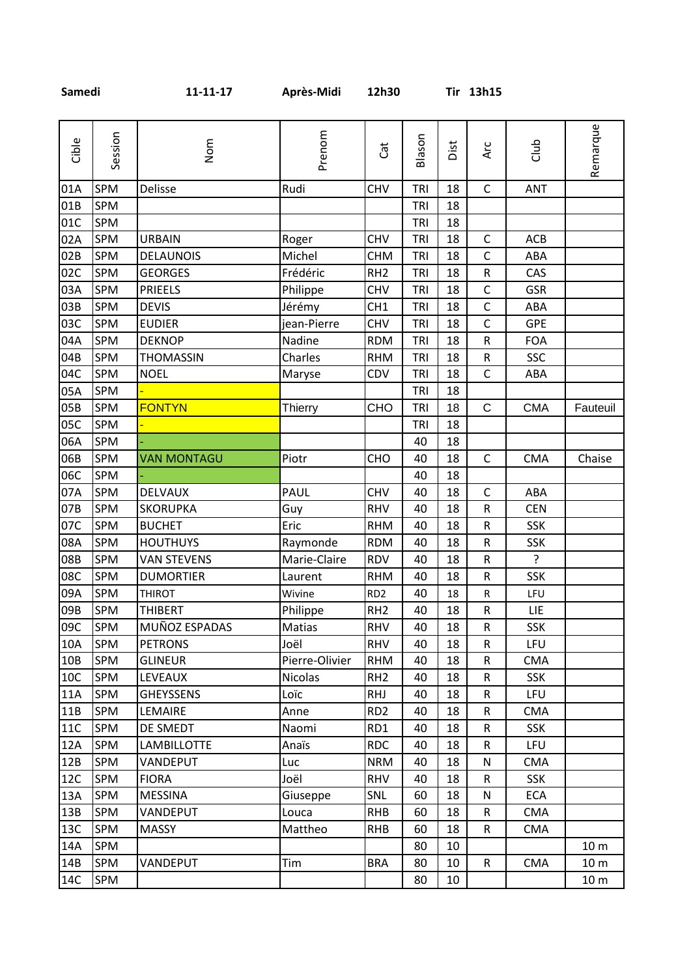| Gible           | Session    | Nom                | Prenom         | Cat             | Blason     | Dist | Arc          | Club           | Remarque        |
|-----------------|------------|--------------------|----------------|-----------------|------------|------|--------------|----------------|-----------------|
| 01A             | SPM        | Delisse            | Rudi           | <b>CHV</b>      | TRI        | 18   | $\mathsf{C}$ | <b>ANT</b>     |                 |
| 01B             | <b>SPM</b> |                    |                |                 | TRI        | 18   |              |                |                 |
| 01C             | SPM        |                    |                |                 | TRI        | 18   |              |                |                 |
| 02A             | SPM        | <b>URBAIN</b>      | Roger          | <b>CHV</b>      | <b>TRI</b> | 18   | $\mathsf{C}$ | ACB            |                 |
| 02B             | SPM        | <b>DELAUNOIS</b>   | Michel         | <b>CHM</b>      | TRI        | 18   | $\mathsf C$  | ABA            |                 |
| 02C             | SPM        | <b>GEORGES</b>     | Frédéric       | RH <sub>2</sub> | TRI        | 18   | ${\sf R}$    | CAS            |                 |
| 03A             | <b>SPM</b> | <b>PRIEELS</b>     | Philippe       | <b>CHV</b>      | TRI        | 18   | $\mathsf C$  | <b>GSR</b>     |                 |
| 03B             | <b>SPM</b> | <b>DEVIS</b>       | Jérémy         | CH <sub>1</sub> | <b>TRI</b> | 18   | $\mathsf C$  | ABA            |                 |
| 03C             | SPM        | <b>EUDIER</b>      | jean-Pierre    | <b>CHV</b>      | <b>TRI</b> | 18   | $\mathsf{C}$ | <b>GPE</b>     |                 |
| 04A             | SPM        | <b>DEKNOP</b>      | Nadine         | <b>RDM</b>      | TRI        | 18   | ${\sf R}$    | <b>FOA</b>     |                 |
| 04B             | SPM        | <b>THOMASSIN</b>   | Charles        | <b>RHM</b>      | <b>TRI</b> | 18   | ${\sf R}$    | SSC            |                 |
| 04C             | SPM        | <b>NOEL</b>        | Maryse         | CDV             | TRI        | 18   | $\mathsf C$  | ABA            |                 |
| 05A             | <b>SPM</b> |                    |                |                 | TRI        | 18   |              |                |                 |
| 05B             | SPM        | <b>FONTYN</b>      | <b>Thierry</b> | CHO             | <b>TRI</b> | 18   | $\mathsf{C}$ | <b>CMA</b>     | Fauteuil        |
| 05C             | <b>SPM</b> |                    |                |                 | TRI        | 18   |              |                |                 |
| 06A             | <b>SPM</b> |                    |                |                 | 40         | 18   |              |                |                 |
| 06B             | SPM        | <b>VAN MONTAGU</b> | Piotr          | CHO             | 40         | 18   | $\mathsf C$  | <b>CMA</b>     | Chaise          |
| 06C             | SPM        |                    |                |                 | 40         | 18   |              |                |                 |
| 07A             | SPM        | DELVAUX            | PAUL           | <b>CHV</b>      | 40         | 18   | $\mathsf C$  | ABA            |                 |
| 07B             | SPM        | <b>SKORUPKA</b>    | Guy            | <b>RHV</b>      | 40         | 18   | ${\sf R}$    | <b>CEN</b>     |                 |
| 07C             | SPM        | <b>BUCHET</b>      | Eric           | <b>RHM</b>      | 40         | 18   | ${\sf R}$    | <b>SSK</b>     |                 |
| 08A             | SPM        | <b>HOUTHUYS</b>    | Raymonde       | <b>RDM</b>      | 40         | 18   | ${\sf R}$    | <b>SSK</b>     |                 |
| 08B             | SPM        | <b>VAN STEVENS</b> | Marie-Claire   | <b>RDV</b>      | 40         | 18   | ${\sf R}$    | $\overline{?}$ |                 |
| 08C             | <b>SPM</b> | <b>DUMORTIER</b>   | Laurent        | <b>RHM</b>      | 40         | 18   | ${\sf R}$    | <b>SSK</b>     |                 |
| 09A             | SPM        | <b>THIROT</b>      | Wivine         | RD <sub>2</sub> | 40         | 18   | R            | LFU            |                 |
| 09B             | SPM        | <b>THIBERT</b>     | Philippe       | RH <sub>2</sub> | 40         | 18   | ${\sf R}$    | LIE            |                 |
| 09C             | <b>SPM</b> | MUÑOZ ESPADAS      | Matias         | <b>RHV</b>      | 40         | 18   | R            | <b>SSK</b>     |                 |
| 10A             | <b>SPM</b> | <b>PETRONS</b>     | Joël           | <b>RHV</b>      | 40         | 18   | R            | LFU            |                 |
| 10 <sub>B</sub> | <b>SPM</b> | <b>GLINEUR</b>     | Pierre-Olivier | <b>RHM</b>      | 40         | 18   | R            | <b>CMA</b>     |                 |
| 10C             | <b>SPM</b> | <b>LEVEAUX</b>     | <b>Nicolas</b> | RH <sub>2</sub> | 40         | 18   | $\mathsf R$  | <b>SSK</b>     |                 |
| 11A             | SPM        | <b>GHEYSSENS</b>   | Loïc           | <b>RHJ</b>      | 40         | 18   | ${\sf R}$    | <b>LFU</b>     |                 |
| 11B             | SPM        | LEMAIRE            | Anne           | RD <sub>2</sub> | 40         | 18   | R            | <b>CMA</b>     |                 |
| 11C             | <b>SPM</b> | DE SMEDT           | Naomi          | RD1             | 40         | 18   | $\mathsf R$  | <b>SSK</b>     |                 |
| 12A             | <b>SPM</b> | <b>LAMBILLOTTE</b> | Anaïs          | <b>RDC</b>      | 40         | 18   | ${\sf R}$    | LFU            |                 |
| 12B             | SPM        | VANDEPUT           | Luc            | <b>NRM</b>      | 40         | 18   | N            | <b>CMA</b>     |                 |
| 12C             | <b>SPM</b> | <b>FIORA</b>       | Joël           | <b>RHV</b>      | 40         | 18   | ${\sf R}$    | <b>SSK</b>     |                 |
| 13A             | SPM        | <b>MESSINA</b>     | Giuseppe       | SNL             | 60         | 18   | N            | ECA            |                 |
| 13B             | SPM        | VANDEPUT           | Louca          | RHB             | 60         | 18   | $\mathsf R$  | <b>CMA</b>     |                 |
| 13C             | SPM        | <b>MASSY</b>       | Mattheo        | <b>RHB</b>      | 60         | 18   | R            | <b>CMA</b>     |                 |
| 14A             | SPM        |                    |                |                 | 80         | 10   |              |                | 10 <sub>m</sub> |
| 14B             | SPM        | VANDEPUT           | Tim            | <b>BRA</b>      | 80         | 10   | ${\sf R}$    | <b>CMA</b>     | 10 <sub>m</sub> |
| 14C             | SPM        |                    |                |                 | 80         | 10   |              |                | 10 <sub>m</sub> |

**Samedi 11-11-17 Après-Midi 12h30 Tir 13h15**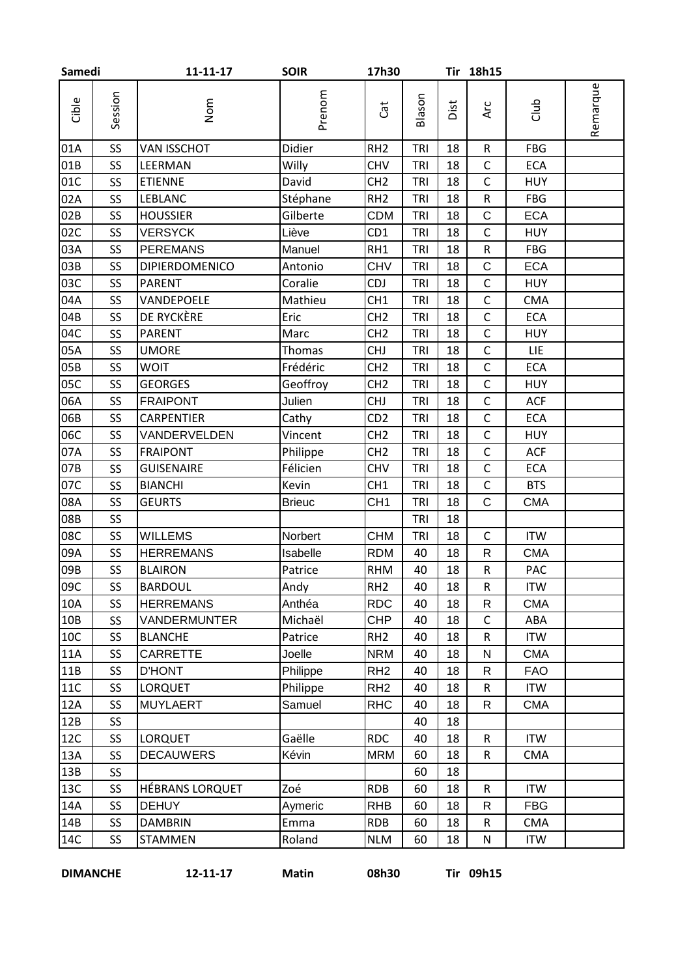| Samedi |                 | $11 - 11 - 17$         | <b>SOIR</b>   | 17h30           |            |      | Tir 18h15    |            |          |
|--------|-----------------|------------------------|---------------|-----------------|------------|------|--------------|------------|----------|
| Cible  | Session         | Nom                    | Prenom        | Cat             | Blason     | Dist | Arc          | dub        | Remarque |
| 01A    | SS              | <b>VAN ISSCHOT</b>     | Didier        | RH <sub>2</sub> | <b>TRI</b> | 18   | ${\sf R}$    | <b>FBG</b> |          |
| 01B    | SS              | LEERMAN                | Willy         | <b>CHV</b>      | <b>TRI</b> | 18   | $\mathsf C$  | <b>ECA</b> |          |
| 01C    | SS              | <b>ETIENNE</b>         | David         | CH <sub>2</sub> | <b>TRI</b> | 18   | $\mathsf{C}$ | <b>HUY</b> |          |
| 02A    | SS              | <b>LEBLANC</b>         | Stéphane      | RH <sub>2</sub> | TRI        | 18   | ${\sf R}$    | <b>FBG</b> |          |
| 02B    | SS              | <b>HOUSSIER</b>        | Gilberte      | <b>CDM</b>      | <b>TRI</b> | 18   | $\mathsf C$  | <b>ECA</b> |          |
| 02C    | SS              | <b>VERSYCK</b>         | Liève         | CD1             | <b>TRI</b> | 18   | $\mathsf C$  | <b>HUY</b> |          |
| 03A    | SS              | <b>PEREMANS</b>        | Manuel        | RH1             | <b>TRI</b> | 18   | ${\sf R}$    | <b>FBG</b> |          |
| 03B    | SS              | <b>DIPIERDOMENICO</b>  | Antonio       | <b>CHV</b>      | TRI        | 18   | $\mathsf C$  | <b>ECA</b> |          |
| 03C    | SS              | <b>PARENT</b>          | Coralie       | <b>CDJ</b>      | <b>TRI</b> | 18   | $\mathsf C$  | <b>HUY</b> |          |
| 04A    | SS              | VANDEPOELE             | Mathieu       | CH <sub>1</sub> | TRI        | 18   | $\mathsf C$  | <b>CMA</b> |          |
| 04B    | SS              | DE RYCKÈRE             | Eric          | CH <sub>2</sub> | TRI        | 18   | $\mathsf C$  | ECA        |          |
| 04C    | SS              | <b>PARENT</b>          | Marc          | CH <sub>2</sub> | TRI        | 18   | $\mathsf C$  | <b>HUY</b> |          |
| 05A    | SS              | <b>UMORE</b>           | <b>Thomas</b> | <b>CHJ</b>      | <b>TRI</b> | 18   | $\mathsf C$  | <b>LIE</b> |          |
| 05B    | SS              | <b>WOIT</b>            | Frédéric      | CH <sub>2</sub> | TRI        | 18   | $\mathsf C$  | <b>ECA</b> |          |
| 05C    | SS              | <b>GEORGES</b>         | Geoffroy      | CH <sub>2</sub> | <b>TRI</b> | 18   | $\mathsf C$  | <b>HUY</b> |          |
| 06A    | SS              | <b>FRAIPONT</b>        | Julien        | <b>CHJ</b>      | TRI        | 18   | $\mathsf C$  | ACF        |          |
| 06B    | SS              | <b>CARPENTIER</b>      | Cathy         | CD <sub>2</sub> | TRI        | 18   | $\mathsf C$  | <b>ECA</b> |          |
| 06C    | SS              | VANDERVELDEN           | Vincent       | CH <sub>2</sub> | <b>TRI</b> | 18   | $\mathsf C$  | <b>HUY</b> |          |
| 07A    | SS              | <b>FRAIPONT</b>        | Philippe      | CH <sub>2</sub> | TRI        | 18   | $\mathsf C$  | <b>ACF</b> |          |
| 07B    | SS              | <b>GUISENAIRE</b>      | Félicien      | <b>CHV</b>      | <b>TRI</b> | 18   | $\mathsf C$  | <b>ECA</b> |          |
| 07C    | SS              | <b>BIANCHI</b>         | Kevin         | CH <sub>1</sub> | <b>TRI</b> | 18   | $\mathsf C$  | <b>BTS</b> |          |
| 08A    | SS              | <b>GEURTS</b>          | <b>Brieuc</b> | CH <sub>1</sub> | <b>TRI</b> | 18   | $\mathsf C$  | <b>CMA</b> |          |
| 08B    | SS              |                        |               |                 | <b>TRI</b> | 18   |              |            |          |
| 08C    | SS              | <b>WILLEMS</b>         | Norbert       | <b>CHM</b>      | <b>TRI</b> | 18   | $\mathsf C$  | <b>ITW</b> |          |
| 09A    | SS              | <b>HERREMANS</b>       | Isabelle      | <b>RDM</b>      | 40         | 18   | R            | <b>CMA</b> |          |
| 09B    | SS              | <b>BLAIRON</b>         | Patrice       | <b>RHM</b>      | 40         | 18   | ${\sf R}$    | PAC        |          |
| 09C    | SS              | <b>BARDOUL</b>         | Andy          | RH <sub>2</sub> | 40         | 18   | ${\sf R}$    | <b>ITW</b> |          |
| 10A    | SS              | <b>HERREMANS</b>       | Anthéa        | <b>RDC</b>      | 40         | 18   | R            | <b>CMA</b> |          |
| 10B    | SS <sub>1</sub> | VANDERMUNTER           | Michaël       | <b>CHP</b>      | 40         | 18   | $\mathsf{C}$ | ABA        |          |
| 10C    | SS              | <b>BLANCHE</b>         | Patrice       | RH <sub>2</sub> | 40         | 18   | ${\sf R}$    | <b>ITW</b> |          |
| 11A    | SS              | CARRETTE               | Joelle        | <b>NRM</b>      | 40         | 18   | ${\sf N}$    | <b>CMA</b> |          |
| 11B    | SS              | <b>D'HONT</b>          | Philippe      | RH <sub>2</sub> | 40         | 18   | R            | <b>FAO</b> |          |
| 11C    | SS              | <b>LORQUET</b>         | Philippe      | RH <sub>2</sub> | 40         | 18   | $\mathsf{R}$ | <b>ITW</b> |          |
| 12A    | SS              | <b>MUYLAERT</b>        | Samuel        | <b>RHC</b>      | 40         | 18   | $\mathsf{R}$ | <b>CMA</b> |          |
| 12B    | SS              |                        |               |                 | 40         | 18   |              |            |          |
| 12C    | <b>SS</b>       | <b>LORQUET</b>         | Gaëlle        | <b>RDC</b>      | 40         | 18   | ${\sf R}$    | <b>ITW</b> |          |
| 13A    | SS              | <b>DECAUWERS</b>       | Kévin         | <b>MRM</b>      | 60         | 18   | $\mathsf R$  | <b>CMA</b> |          |
| 13B    | <b>SS</b>       |                        |               |                 | 60         | 18   |              |            |          |
| 13C    | SS              | <b>HÉBRANS LORQUET</b> | Zoé           | <b>RDB</b>      | 60         | 18   | $\mathsf{R}$ | <b>ITW</b> |          |
| 14A    | SS              | <b>DEHUY</b>           | Aymeric       | <b>RHB</b>      | 60         | 18   | R            | <b>FBG</b> |          |
| 14B    | SS              | <b>DAMBRIN</b>         | Emma          | <b>RDB</b>      | 60         | 18   | $\mathsf{R}$ | <b>CMA</b> |          |
| 14C    | SS              | <b>STAMMEN</b>         | Roland        | <b>NLM</b>      | 60         | 18   | N            | <b>ITW</b> |          |

**DIMANCHE 12-11-17 Matin 08h30 Tir 09h15**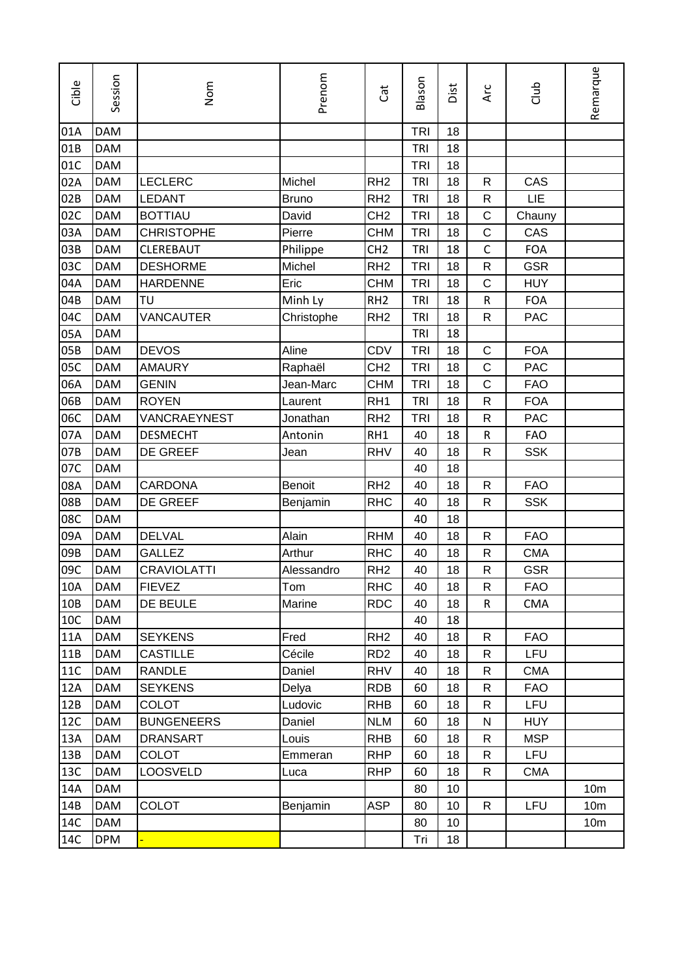| Cible      | Session    | Nom                | Prenom        | đ               | Blason     | Dist | Arc          | Club       | Remarque        |
|------------|------------|--------------------|---------------|-----------------|------------|------|--------------|------------|-----------------|
| 01A        | <b>DAM</b> |                    |               |                 | <b>TRI</b> | 18   |              |            |                 |
| 01B        | <b>DAM</b> |                    |               |                 | <b>TRI</b> | 18   |              |            |                 |
| 01C        | <b>DAM</b> |                    |               |                 | <b>TRI</b> | 18   |              |            |                 |
| 02A        | <b>DAM</b> | <b>LECLERC</b>     | Michel        | RH <sub>2</sub> | TRI        | 18   | $\mathsf{R}$ | CAS        |                 |
| 02B        | <b>DAM</b> | <b>LEDANT</b>      | <b>Bruno</b>  | RH <sub>2</sub> | <b>TRI</b> | 18   | $\mathsf{R}$ | LIE        |                 |
| 02C        | <b>DAM</b> | <b>BOTTIAU</b>     | David         | CH <sub>2</sub> | <b>TRI</b> | 18   | С            | Chauny     |                 |
| 03A        | <b>DAM</b> | <b>CHRISTOPHE</b>  | Pierre        | <b>CHM</b>      | <b>TRI</b> | 18   | $\mathsf C$  | CAS        |                 |
| 03B        | <b>DAM</b> | <b>CLEREBAUT</b>   | Philippe      | CH <sub>2</sub> | TRI        | 18   | $\mathsf{C}$ | <b>FOA</b> |                 |
| 03C        | <b>DAM</b> | <b>DESHORME</b>    | Michel        | RH <sub>2</sub> | <b>TRI</b> | 18   | $\mathsf R$  | <b>GSR</b> |                 |
| 04A        | <b>DAM</b> | <b>HARDENNE</b>    | Eric          | <b>CHM</b>      | <b>TRI</b> | 18   | $\mathsf C$  | <b>HUY</b> |                 |
| 04B        | <b>DAM</b> | TU                 | Minh Ly       | RH <sub>2</sub> | TRI        | 18   | ${\sf R}$    | <b>FOA</b> |                 |
| 04C        | <b>DAM</b> | VANCAUTER          | Christophe    | RH <sub>2</sub> | TRI        | 18   | $\mathsf R$  | <b>PAC</b> |                 |
| 05A        | <b>DAM</b> |                    |               |                 | TRI        | 18   |              |            |                 |
| 05B        | <b>DAM</b> | <b>DEVOS</b>       | Aline         | CDV             | <b>TRI</b> | 18   | C            | <b>FOA</b> |                 |
| 05C        | <b>DAM</b> | <b>AMAURY</b>      | Raphaël       | CH <sub>2</sub> | <b>TRI</b> | 18   | C            | <b>PAC</b> |                 |
| 06A        | <b>DAM</b> | <b>GENIN</b>       | Jean-Marc     | <b>CHM</b>      | <b>TRI</b> | 18   | $\mathsf C$  | <b>FAO</b> |                 |
| 06B        | <b>DAM</b> | <b>ROYEN</b>       | Laurent       | RH <sub>1</sub> | TRI        | 18   | R            | <b>FOA</b> |                 |
| 06C        | <b>DAM</b> | VANCRAEYNEST       | Jonathan      | RH <sub>2</sub> | <b>TRI</b> | 18   | $\mathsf R$  | <b>PAC</b> |                 |
| 07A        | <b>DAM</b> | <b>DESMECHT</b>    | Antonin       | RH1             | 40         | 18   | ${\sf R}$    | <b>FAO</b> |                 |
| 07B        | <b>DAM</b> | DE GREEF           | Jean          | <b>RHV</b>      | 40         | 18   | $\mathsf R$  | <b>SSK</b> |                 |
| 07C        | <b>DAM</b> |                    |               |                 | 40         | 18   |              |            |                 |
| 08A        | <b>DAM</b> | <b>CARDONA</b>     | <b>Benoit</b> | RH <sub>2</sub> | 40         | 18   | $\mathsf{R}$ | <b>FAO</b> |                 |
| 08B        | <b>DAM</b> | DE GREEF           | Benjamin      | <b>RHC</b>      | 40         | 18   | ${\sf R}$    | <b>SSK</b> |                 |
| 08C        | <b>DAM</b> |                    |               |                 | 40         | 18   |              |            |                 |
| 09A        | <b>DAM</b> | <b>DELVAL</b>      | Alain         | <b>RHM</b>      | 40         | 18   | $\mathsf{R}$ | <b>FAO</b> |                 |
| 09B        | <b>DAM</b> | <b>GALLEZ</b>      | Arthur        | <b>RHC</b>      | 40         | 18   | $\mathsf{R}$ | <b>CMA</b> |                 |
| 09C        | <b>DAM</b> | <b>CRAVIOLATTI</b> | Alessandro    | RH <sub>2</sub> | 40         | 18   | R            | <b>GSR</b> |                 |
| 10A        | <b>DAM</b> | FIEVEZ             | Tom           | <b>RHC</b>      | 40         | 18   | R            | <b>FAO</b> |                 |
| 10B        | <b>DAM</b> | DE BEULE           | Marine        | <b>RDC</b>      | 40         | 18   | $\mathsf{R}$ | <b>CMA</b> |                 |
| 10C        | DAM        |                    |               |                 | 40         | 18   |              |            |                 |
| 11A        | DAM        | <b>SEYKENS</b>     | Fred          | RH <sub>2</sub> | 40         | 18   | $\mathsf{R}$ | <b>FAO</b> |                 |
| 11B        | <b>DAM</b> | <b>CASTILLE</b>    | Cécile        | RD <sub>2</sub> | 40         | 18   | R            | <b>LFU</b> |                 |
| <b>11C</b> | <b>DAM</b> | <b>RANDLE</b>      | Daniel        | <b>RHV</b>      | 40         | 18   | R            | <b>CMA</b> |                 |
| 12A        | <b>DAM</b> | <b>SEYKENS</b>     | Delya         | <b>RDB</b>      | 60         | 18   | R            | <b>FAO</b> |                 |
| 12B        | <b>DAM</b> | <b>COLOT</b>       | Ludovic       | <b>RHB</b>      | 60         | 18   | R            | <b>LFU</b> |                 |
| 12C        | <b>DAM</b> | <b>BUNGENEERS</b>  | Daniel        | <b>NLM</b>      | 60         | 18   | N            | <b>HUY</b> |                 |
| 13A        | <b>DAM</b> | <b>DRANSART</b>    | Louis         | <b>RHB</b>      | 60         | 18   | R            | <b>MSP</b> |                 |
| 13B        | <b>DAM</b> | <b>COLOT</b>       | Emmeran       | <b>RHP</b>      | 60         | 18   | R            | <b>LFU</b> |                 |
| 13C        | <b>DAM</b> | <b>LOOSVELD</b>    | Luca          | <b>RHP</b>      | 60         | 18   | $\mathsf{R}$ | <b>CMA</b> |                 |
| 14A        | DAM        |                    |               |                 | 80         | 10   |              |            | 10 <sub>m</sub> |
| 14B        | <b>DAM</b> | <b>COLOT</b>       | Benjamin      | <b>ASP</b>      | 80         | 10   | $\mathsf{R}$ | LFU        | 10 <sub>m</sub> |
| 14C        | DAM        |                    |               |                 | 80         | 10   |              |            | 10 <sub>m</sub> |
| 14C        | <b>DPM</b> |                    |               |                 | Tri        | 18   |              |            |                 |